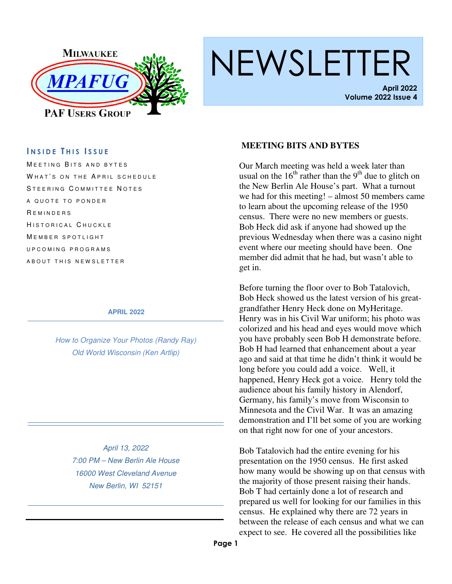

# NEWSLETTER

**April 2022 Volume 2022 Issue 4** 

#### **I N S I D E T H I S I S S U E**

MEETING BITS AND BYTES WHAT'S ON THE APRIL SCHEDULE STEERING COMMITTEE NOTES A QUOTE TO PONDER **REMINDERS** HISTORICAL CHUCKLE MEMBER SPOTLIGHT U P C O M I N G P R O G R A M S A B O U T T H I S N E W S L E T T E R

#### **APRIL 2022**

How to Organize Your Photos (Randy Ray) Old World Wisconsin (Ken Artlip)

> April 13, 2022 7:00 PM – New Berlin Ale House 16000 West Cleveland Avenue New Berlin, WI 52151

#### **MEETING BITS AND BYTES**

Our March meeting was held a week later than usual on the  $16<sup>th</sup>$  rather than the 9<sup>th</sup> due to glitch on the New Berlin Ale House's part. What a turnout we had for this meeting! – almost 50 members came to learn about the upcoming release of the 1950 census. There were no new members or guests. Bob Heck did ask if anyone had showed up the previous Wednesday when there was a casino night event where our meeting should have been. One member did admit that he had, but wasn't able to get in.

Before turning the floor over to Bob Tatalovich, Bob Heck showed us the latest version of his greatgrandfather Henry Heck done on MyHeritage. Henry was in his Civil War uniform; his photo was colorized and his head and eyes would move which you have probably seen Bob H demonstrate before. Bob H had learned that enhancement about a year ago and said at that time he didn't think it would be long before you could add a voice. Well, it happened, Henry Heck got a voice. Henry told the audience about his family history in Alendorf, Germany, his family's move from Wisconsin to Minnesota and the Civil War. It was an amazing demonstration and I'll bet some of you are working on that right now for one of your ancestors.

Bob Tatalovich had the entire evening for his presentation on the 1950 census. He first asked how many would be showing up on that census with the majority of those present raising their hands. Bob T had certainly done a lot of research and prepared us well for looking for our families in this census. He explained why there are 72 years in between the release of each census and what we can expect to see. He covered all the possibilities like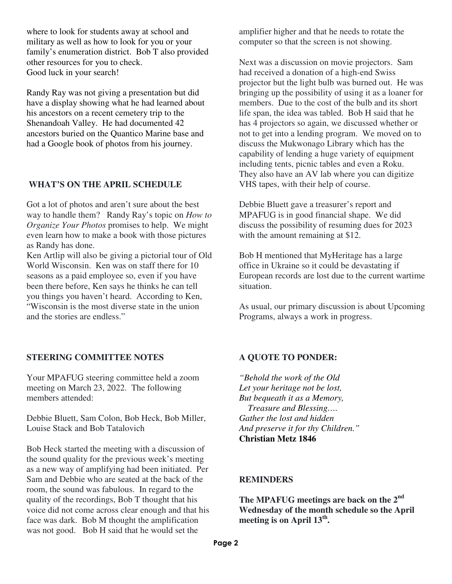where to look for students away at school and military as well as how to look for you or your family's enumeration district. Bob T also provided other resources for you to check. Good luck in your search!

Randy Ray was not giving a presentation but did have a display showing what he had learned about his ancestors on a recent cemetery trip to the Shenandoah Valley. He had documented 42 ancestors buried on the Quantico Marine base and had a Google book of photos from his journey.

#### **WHAT'S ON THE APRIL SCHEDULE**

Got a lot of photos and aren't sure about the best way to handle them? Randy Ray's topic on *How to Organize Your Photos* promises to help. We might even learn how to make a book with those pictures as Randy has done.

Ken Artlip will also be giving a pictorial tour of Old World Wisconsin. Ken was on staff there for 10 seasons as a paid employee so, even if you have been there before, Ken says he thinks he can tell you things you haven't heard. According to Ken, "Wisconsin is the most diverse state in the union and the stories are endless."

#### **STEERING COMMITTEE NOTES**

Your MPAFUG steering committee held a zoom meeting on March 23, 2022. The following members attended:

Debbie Bluett, Sam Colon, Bob Heck, Bob Miller, Louise Stack and Bob Tatalovich

Bob Heck started the meeting with a discussion of the sound quality for the previous week's meeting as a new way of amplifying had been initiated. Per Sam and Debbie who are seated at the back of the room, the sound was fabulous. In regard to the quality of the recordings, Bob T thought that his voice did not come across clear enough and that his face was dark. Bob M thought the amplification was not good. Bob H said that he would set the

amplifier higher and that he needs to rotate the computer so that the screen is not showing.

Next was a discussion on movie projectors. Sam had received a donation of a high-end Swiss projector but the light bulb was burned out. He was bringing up the possibility of using it as a loaner for members. Due to the cost of the bulb and its short life span, the idea was tabled. Bob H said that he has 4 projectors so again, we discussed whether or not to get into a lending program. We moved on to discuss the Mukwonago Library which has the capability of lending a huge variety of equipment including tents, picnic tables and even a Roku. They also have an AV lab where you can digitize VHS tapes, with their help of course.

Debbie Bluett gave a treasurer's report and MPAFUG is in good financial shape. We did discuss the possibility of resuming dues for 2023 with the amount remaining at \$12.

Bob H mentioned that MyHeritage has a large office in Ukraine so it could be devastating if European records are lost due to the current wartime situation.

As usual, our primary discussion is about Upcoming Programs, always a work in progress.

#### **A QUOTE TO PONDER:**

*"Behold the work of the Old Let your heritage not be lost, But bequeath it as a Memory, Treasure and Blessing…. Gather the lost and hidden And preserve it for thy Children."*  **Christian Metz 1846** 

#### **REMINDERS**

**The MPAFUG meetings are back on the 2nd Wednesday of the month schedule so the April meeting is on April 13th .**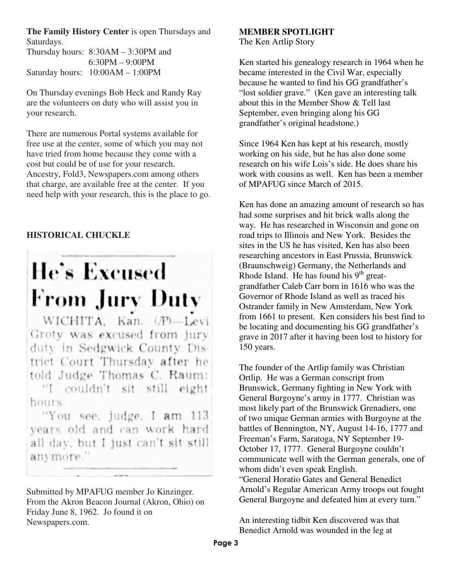**The Family History Center** is open Thursdays and Saturdays.

Thursday hours: 8:30AM – 3:30PM and 6:30PM – 9:00PM Saturday hours: 10:00AM – 1:00PM

On Thursday evenings Bob Heck and Randy Ray are the volunteers on duty who will assist you in your research.

There are numerous Portal systems available for free use at the center, some of which you may not have tried from home because they come with a cost but could be of use for your research. Ancestry, Fold3, Newspapers.com among others that charge, are available free at the center. If you need help with your research, this is the place to go.

#### **HISTORICAL CHUCKLE**

## **He's Excused From Jury Duty**

WICHITA, Kan. (P)-Levi Groty was excused from jury duty in Sedgwick County District Court Thursday after he told Judge Thomas C. Raum: "I couldn't sit still eight hours.

"You see, judge, I am 113 years old and can work hard all day, but I just can't sit still anymore."

Submitted by MPAFUG member Jo Kinzinger. From the Akron Beacon Journal (Akron, Ohio) on Friday June 8, 1962. Jo found it on Newspapers.com.

#### **MEMBER SPOTLIGHT**

The Ken Artlip Story

Ken started his genealogy research in 1964 when he became interested in the Civil War, especially because he wanted to find his GG grandfather's "lost soldier grave." (Ken gave an interesting talk about this in the Member Show & Tell last September, even bringing along his GG grandfather's original headstone.)

Since 1964 Ken has kept at his research, mostly working on his side, but he has also done some research on his wife Lois's side. He does share his work with cousins as well. Ken has been a member of MPAFUG since March of 2015.

Ken has done an amazing amount of research so has had some surprises and hit brick walls along the way. He has researched in Wisconsin and gone on road trips to Illinois and New York. Besides the sites in the US he has visited, Ken has also been researching ancestors in East Prussia, Brunswick (Braunschweig) Germany, the Netherlands and Rhode Island. He has found his  $9<sup>th</sup>$  greatgrandfather Caleb Carr born in 1616 who was the Governor of Rhode Island as well as traced his Ostrander family in New Amsterdam, New York from 1661 to present. Ken considers his best find to be locating and documenting his GG grandfather's grave in 2017 after it having been lost to history for 150 years.

The founder of the Artlip family was Christian Ortlip. He was a German conscript from Brunswick, Germany fighting in New York with General Burgoyne's army in 1777. Christian was most likely part of the Brunswick Grenadiers, one of two unique German armies with Burgoyne at the battles of Bennington, NY, August 14-16, 1777 and Freeman's Farm, Saratoga, NY September 19- October 17, 1777. General Burgoyne couldn't communicate well with the German generals, one of whom didn't even speak English.

"General Horatio Gates and General Benedict Arnold's Regular American Army troops out fought General Burgoyne and defeated him at every turn."

An interesting tidbit Ken discovered was that Benedict Arnold was wounded in the leg at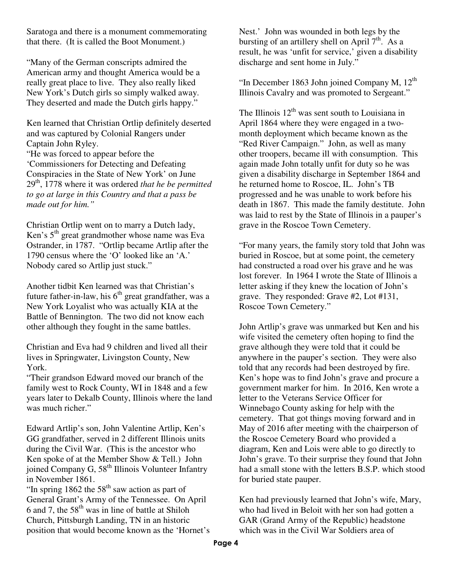Saratoga and there is a monument commemorating that there. (It is called the Boot Monument.)

"Many of the German conscripts admired the American army and thought America would be a really great place to live. They also really liked New York's Dutch girls so simply walked away. They deserted and made the Dutch girls happy."

Ken learned that Christian Ortlip definitely deserted and was captured by Colonial Rangers under Captain John Ryley. "He was forced to appear before the 'Commissioners for Detecting and Defeating Conspiracies in the State of New York' on June 29th, 1778 where it was ordered *that he be permitted to go at large in this Country and that a pass be made out for him."*

Christian Ortlip went on to marry a Dutch lady, Ken's  $5<sup>th</sup>$  great grandmother whose name was Eva Ostrander, in 1787. "Ortlip became Artlip after the 1790 census where the 'O' looked like an 'A.' Nobody cared so Artlip just stuck."

Another tidbit Ken learned was that Christian's future father-in-law, his  $6<sup>th</sup>$  great grandfather, was a New York Loyalist who was actually KIA at the Battle of Bennington. The two did not know each other although they fought in the same battles.

Christian and Eva had 9 children and lived all their lives in Springwater, Livingston County, New York.

"Their grandson Edward moved our branch of the family west to Rock County, WI in 1848 and a few years later to Dekalb County, Illinois where the land was much richer."

Edward Artlip's son, John Valentine Artlip, Ken's GG grandfather, served in 2 different Illinois units during the Civil War. (This is the ancestor who Ken spoke of at the Member Show & Tell.) John joined Company G, 58<sup>th</sup> Illinois Volunteer Infantry in November 1861.

"In spring  $1862$  the  $58<sup>th</sup>$  saw action as part of General Grant's Army of the Tennessee. On April 6 and 7, the  $58<sup>th</sup>$  was in line of battle at Shiloh Church, Pittsburgh Landing, TN in an historic position that would become known as the 'Hornet's

Nest.' John was wounded in both legs by the bursting of an artillery shell on April  $7<sup>th</sup>$ . As a result, he was 'unfit for service,' given a disability discharge and sent home in July."

"In December 1863 John joined Company M,  $12<sup>th</sup>$ Illinois Cavalry and was promoted to Sergeant."

The Illinois  $12<sup>th</sup>$  was sent south to Louisiana in April 1864 where they were engaged in a twomonth deployment which became known as the "Red River Campaign." John, as well as many other troopers, became ill with consumption. This again made John totally unfit for duty so he was given a disability discharge in September 1864 and he returned home to Roscoe, IL. John's TB progressed and he was unable to work before his death in 1867. This made the family destitute. John was laid to rest by the State of Illinois in a pauper's grave in the Roscoe Town Cemetery.

"For many years, the family story told that John was buried in Roscoe, but at some point, the cemetery had constructed a road over his grave and he was lost forever. In 1964 I wrote the State of Illinois a letter asking if they knew the location of John's grave. They responded: Grave #2, Lot #131, Roscoe Town Cemetery."

John Artlip's grave was unmarked but Ken and his wife visited the cemetery often hoping to find the grave although they were told that it could be anywhere in the pauper's section. They were also told that any records had been destroyed by fire. Ken's hope was to find John's grave and procure a government marker for him. In 2016, Ken wrote a letter to the Veterans Service Officer for Winnebago County asking for help with the cemetery. That got things moving forward and in May of 2016 after meeting with the chairperson of the Roscoe Cemetery Board who provided a diagram, Ken and Lois were able to go directly to John's grave. To their surprise they found that John had a small stone with the letters B.S.P. which stood for buried state pauper.

Ken had previously learned that John's wife, Mary, who had lived in Beloit with her son had gotten a GAR (Grand Army of the Republic) headstone which was in the Civil War Soldiers area of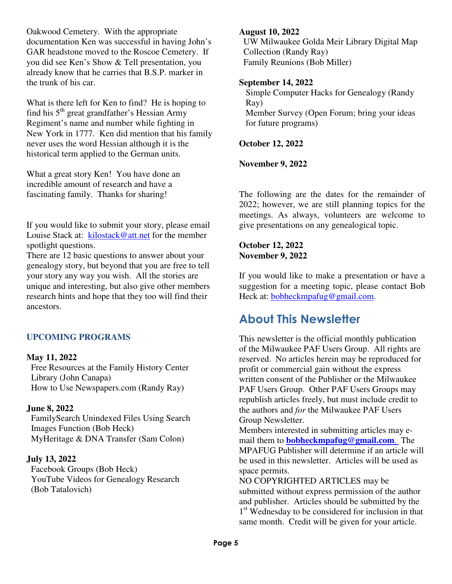Oakwood Cemetery. With the appropriate documentation Ken was successful in having John's GAR headstone moved to the Roscoe Cemetery. If you did see Ken's Show & Tell presentation, you already know that he carries that B.S.P. marker in the trunk of his car.

What is there left for Ken to find? He is hoping to find his 5<sup>th</sup> great grandfather's Hessian Army Regiment's name and number while fighting in New York in 1777. Ken did mention that his family never uses the word Hessian although it is the historical term applied to the German units.

What a great story Ken! You have done an incredible amount of research and have a fascinating family. Thanks for sharing!

If you would like to submit your story, please email Louise Stack at: kilostack@att.net for the member spotlight questions.

There are 12 basic questions to answer about your genealogy story, but beyond that you are free to tell your story any way you wish. All the stories are unique and interesting, but also give other members research hints and hope that they too will find their ancestors.

#### **UPCOMING PROGRAMS**

#### **May 11, 2022**

Free Resources at the Family History Center Library (John Canapa) How to Use Newspapers.com (Randy Ray)

#### **June 8, 2022**

FamilySearch Unindexed Files Using Search Images Function (Bob Heck) MyHeritage & DNA Transfer (Sam Colon)

#### **July 13, 2022**

Facebook Groups (Bob Heck) YouTube Videos for Genealogy Research (Bob Tatalovich)

#### **August 10, 2022**

UW Milwaukee Golda Meir Library Digital Map Collection (Randy Ray) Family Reunions (Bob Miller)

#### **September 14, 2022**

Simple Computer Hacks for Genealogy (Randy Ray) Member Survey (Open Forum; bring your ideas for future programs)

#### **October 12, 2022**

#### **November 9, 2022**

The following are the dates for the remainder of 2022; however, we are still planning topics for the meetings. As always, volunteers are welcome to give presentations on any genealogical topic.

#### **October 12, 2022 November 9, 2022**

If you would like to make a presentation or have a suggestion for a meeting topic, please contact Bob Heck at: **bobheckmpafug@gmail.com.** 

### **About This Newsletter**

This newsletter is the official monthly publication of the Milwaukee PAF Users Group. All rights are reserved. No articles herein may be reproduced for profit or commercial gain without the express written consent of the Publisher or the Milwaukee PAF Users Group. Other PAF Users Groups may republish articles freely, but must include credit to the authors and *for* the Milwaukee PAF Users Group Newsletter.

Members interested in submitting articles may email them to **bobheckmpafug@gmail.com**. The MPAFUG Publisher will determine if an article will be used in this newsletter. Articles will be used as space permits.

NO COPYRIGHTED ARTICLES may be submitted without express permission of the author and publisher. Articles should be submitted by the 1<sup>st</sup> Wednesday to be considered for inclusion in that same month. Credit will be given for your article.